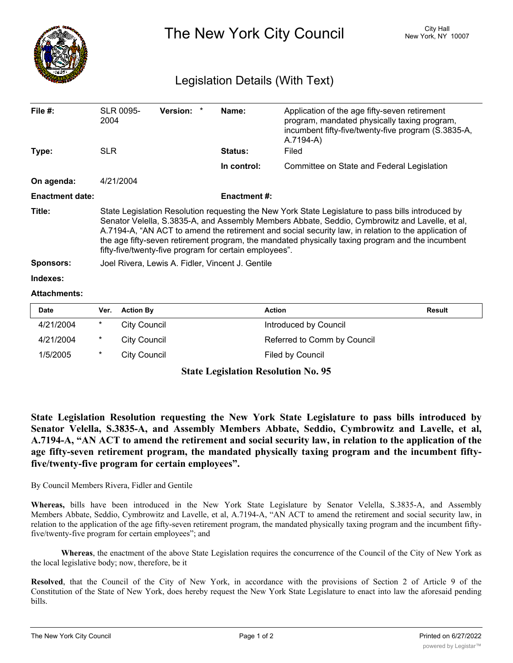

The New York City Council New York, NY 10007

## Legislation Details (With Text)

| File $#$ :             | <b>SLR 0095-</b><br>2004                                                                                                                                                                                                                                                                                                                                                                                                                                                   | <b>Version:</b> | Name:               | Application of the age fifty-seven retirement<br>program, mandated physically taxing program,<br>incumbent fifty-five/twenty-five program (S.3835-A,<br>A.7194-A) |               |  |  |
|------------------------|----------------------------------------------------------------------------------------------------------------------------------------------------------------------------------------------------------------------------------------------------------------------------------------------------------------------------------------------------------------------------------------------------------------------------------------------------------------------------|-----------------|---------------------|-------------------------------------------------------------------------------------------------------------------------------------------------------------------|---------------|--|--|
| Type:                  | <b>SLR</b>                                                                                                                                                                                                                                                                                                                                                                                                                                                                 |                 | <b>Status:</b>      | Filed                                                                                                                                                             |               |  |  |
|                        |                                                                                                                                                                                                                                                                                                                                                                                                                                                                            |                 | In control:         | Committee on State and Federal Legislation                                                                                                                        |               |  |  |
| On agenda:             | 4/21/2004                                                                                                                                                                                                                                                                                                                                                                                                                                                                  |                 |                     |                                                                                                                                                                   |               |  |  |
| <b>Enactment date:</b> |                                                                                                                                                                                                                                                                                                                                                                                                                                                                            |                 | <b>Enactment #:</b> |                                                                                                                                                                   |               |  |  |
| Title:                 | State Legislation Resolution requesting the New York State Legislature to pass bills introduced by<br>Senator Velella, S.3835-A, and Assembly Members Abbate, Seddio, Cymbrowitz and Lavelle, et al,<br>A.7194-A, "AN ACT to amend the retirement and social security law, in relation to the application of<br>the age fifty-seven retirement program, the mandated physically taxing program and the incumbent<br>fifty-five/twenty-five program for certain employees". |                 |                     |                                                                                                                                                                   |               |  |  |
| <b>Sponsors:</b>       | Joel Rivera, Lewis A. Fidler, Vincent J. Gentile                                                                                                                                                                                                                                                                                                                                                                                                                           |                 |                     |                                                                                                                                                                   |               |  |  |
| Indexes:               |                                                                                                                                                                                                                                                                                                                                                                                                                                                                            |                 |                     |                                                                                                                                                                   |               |  |  |
| <b>Attachments:</b>    |                                                                                                                                                                                                                                                                                                                                                                                                                                                                            |                 |                     |                                                                                                                                                                   |               |  |  |
| <b>Date</b>            | <b>Action By</b><br>Ver.                                                                                                                                                                                                                                                                                                                                                                                                                                                   |                 |                     | <b>Action</b>                                                                                                                                                     | <b>Result</b> |  |  |

| Date      | ver. Action by | ACTION                      | result |
|-----------|----------------|-----------------------------|--------|
| 4/21/2004 | City Council   | Introduced by Council       |        |
| 4/21/2004 | City Council   | Referred to Comm by Council |        |
| 1/5/2005  | City Council   | Filed by Council            |        |
|           |                |                             |        |

## **State Legislation Resolution No. 95**

**State Legislation Resolution requesting the New York State Legislature to pass bills introduced by Senator Velella, S.3835-A, and Assembly Members Abbate, Seddio, Cymbrowitz and Lavelle, et al,** A.7194-A, "AN ACT to amend the retirement and social security law, in relation to the application of the **age fifty-seven retirement program, the mandated physically taxing program and the incumbent fiftyfive/twenty-five program for certain employees".**

By Council Members Rivera, Fidler and Gentile

**Whereas,** bills have been introduced in the New York State Legislature by Senator Velella, S.3835-A, and Assembly Members Abbate, Seddio, Cymbrowitz and Lavelle, et al, A.7194-A, "AN ACT to amend the retirement and social security law, in relation to the application of the age fifty-seven retirement program, the mandated physically taxing program and the incumbent fiftyfive/twenty-five program for certain employees"; and

**Whereas**, the enactment of the above State Legislation requires the concurrence of the Council of the City of New York as the local legislative body; now, therefore, be it

**Resolved**, that the Council of the City of New York, in accordance with the provisions of Section 2 of Article 9 of the Constitution of the State of New York, does hereby request the New York State Legislature to enact into law the aforesaid pending bills.